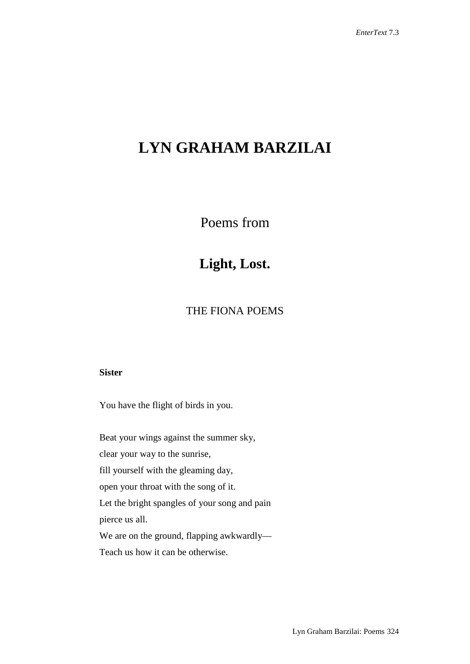# **LYN GRAHAM BARZILAI**

Poems from

## **Light, Lost.**

### THE FIONA POEMS

#### **Sister**

You have the flight of birds in you.

Beat your wings against the summer sky,

clear your way to the sunrise,

fill yourself with the gleaming day,

open your throat with the song of it.

Let the bright spangles of your song and pain pierce us all.

We are on the ground, flapping awkwardly—

Teach us how it can be otherwise.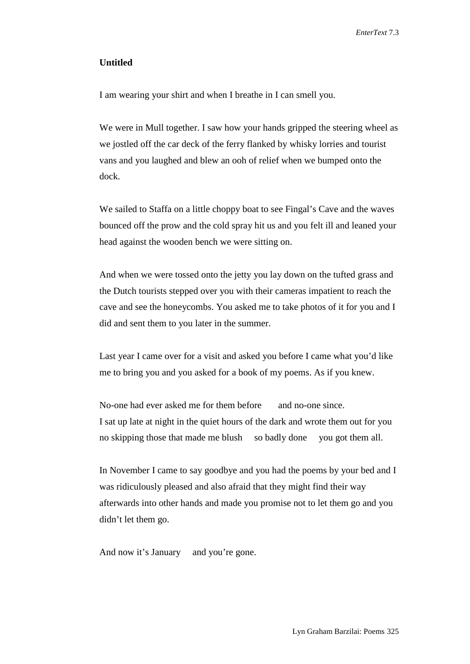#### **Untitled**

I am wearing your shirt and when I breathe in I can smell you.

We were in Mull together. I saw how your hands gripped the steering wheel as we jostled off the car deck of the ferry flanked by whisky lorries and tourist vans and you laughed and blew an ooh of relief when we bumped onto the dock.

We sailed to Staffa on a little choppy boat to see Fingal's Cave and the waves bounced off the prow and the cold spray hit us and you felt ill and leaned your head against the wooden bench we were sitting on.

And when we were tossed onto the jetty you lay down on the tufted grass and the Dutch tourists stepped over you with their cameras impatient to reach the cave and see the honeycombs. You asked me to take photos of it for you and I did and sent them to you later in the summer.

Last year I came over for a visit and asked you before I came what you'd like me to bring you and you asked for a book of my poems. As if you knew.

No-one had ever asked me for them before and no-one since. I sat up late at night in the quiet hours of the dark and wrote them out for you no skipping those that made me blush so badly done you got them all.

In November I came to say goodbye and you had the poems by your bed and I was ridiculously pleased and also afraid that they might find their way afterwards into other hands and made you promise not to let them go and you didn't let them go.

And now it's January and you're gone.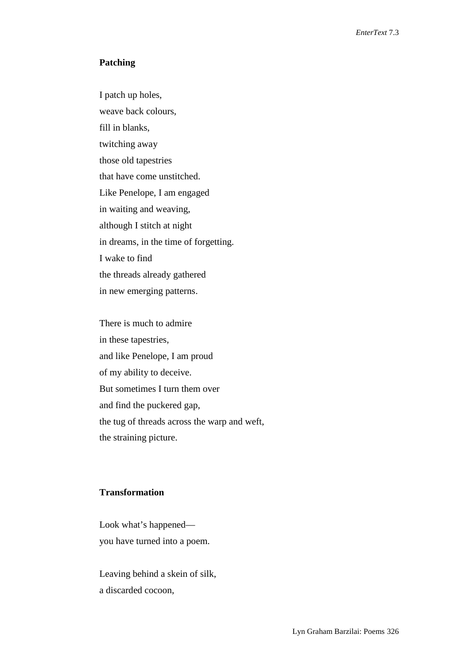#### **Patching**

I patch up holes, weave back colours, fill in blanks, twitching away those old tapestries that have come unstitched. Like Penelope, I am engaged in waiting and weaving, although I stitch at night in dreams, in the time of forgetting. I wake to find the threads already gathered in new emerging patterns.

There is much to admire in these tapestries, and like Penelope, I am proud of my ability to deceive. But sometimes I turn them over and find the puckered gap, the tug of threads across the warp and weft, the straining picture.

#### **Transformation**

Look what's happened you have turned into a poem.

Leaving behind a skein of silk, a discarded cocoon,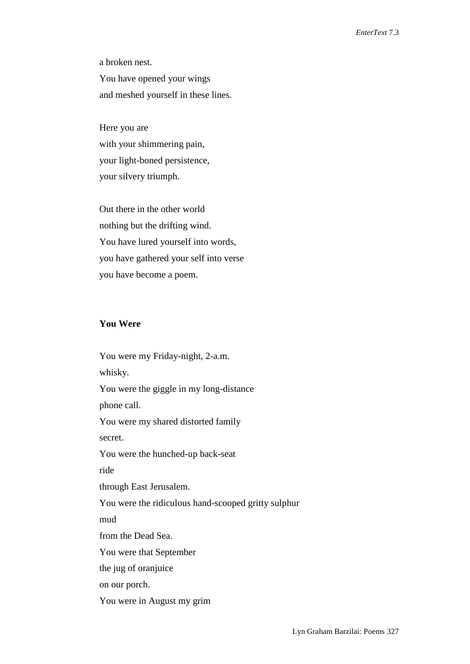a broken nest. You have opened your wings and meshed yourself in these lines.

Here you are with your shimmering pain, your light-boned persistence, your silvery triumph.

Out there in the other world nothing but the drifting wind. You have lured yourself into words, you have gathered your self into verse you have become a poem.

#### **You Were**

You were my Friday-night, 2-a.m. whisky. You were the giggle in my long-distance phone call. You were my shared distorted family secret. You were the hunched-up back-seat ride through East Jerusalem. You were the ridiculous hand-scooped gritty sulphur mud from the Dead Sea. You were that September the jug of oranjuice on our porch. You were in August my grim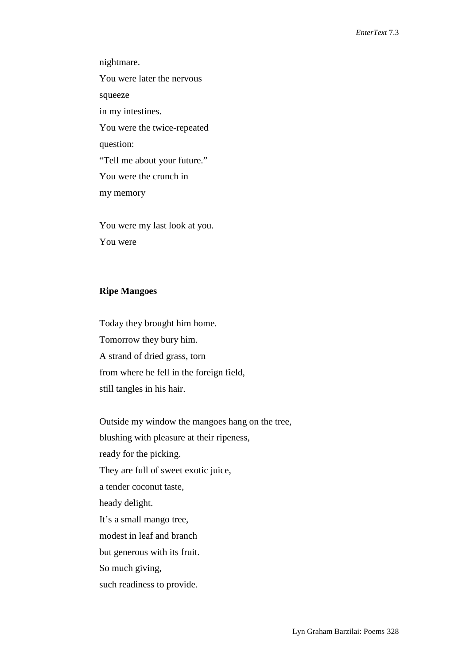nightmare. You were later the nervous squeeze in my intestines. You were the twice-repeated question: "Tell me about your future." You were the crunch in my memory

You were my last look at you. You were

#### **Ripe Mangoes**

Today they brought him home. Tomorrow they bury him. A strand of dried grass, torn from where he fell in the foreign field, still tangles in his hair.

Outside my window the mangoes hang on the tree, blushing with pleasure at their ripeness, ready for the picking. They are full of sweet exotic juice, a tender coconut taste, heady delight. It's a small mango tree, modest in leaf and branch but generous with its fruit. So much giving, such readiness to provide.